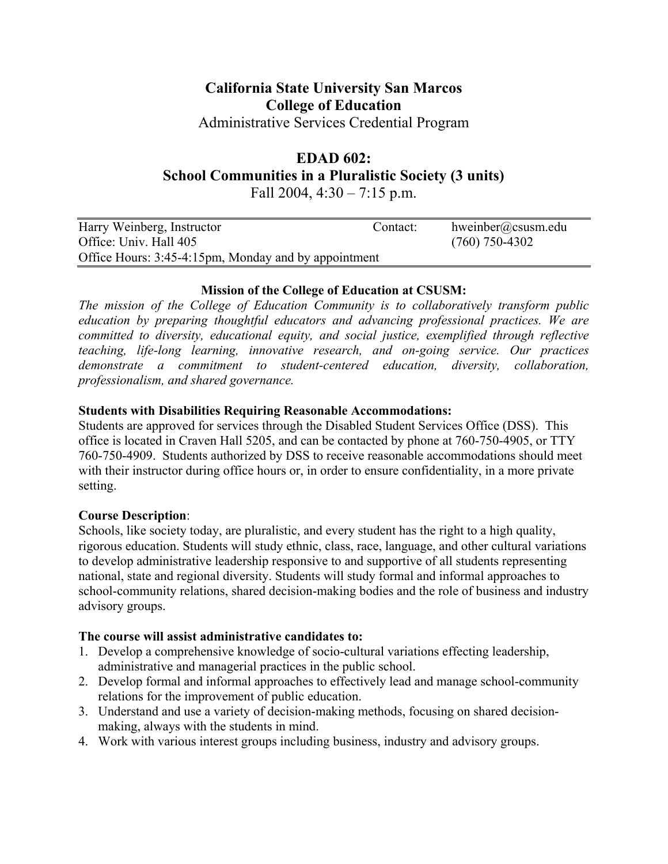# **California State University San Marcos College of Education**

Administrative Services Credential Program

# **EDAD 602:**

**School Communities in a Pluralistic Society (3 units)** 

Fall 2004,  $4:30 - 7:15$  p.m.

| Harry Weinberg, Instructor                           | Contact: | hweinber@csusm.edu |
|------------------------------------------------------|----------|--------------------|
| Office: Univ. Hall 405                               |          | $(760)$ 750-4302   |
| Office Hours: 3:45-4:15pm, Monday and by appointment |          |                    |

# **Mission of the College of Education at CSUSM:**

*The mission of the College of Education Community is to collaboratively transform public education by preparing thoughtful educators and advancing professional practices. We are committed to diversity, educational equity, and social justice, exemplified through reflective teaching, life-long learning, innovative research, and on-going service. Our practices demonstrate a commitment to student-centered education, diversity, collaboration, professionalism, and shared governance.* 

# **Students with Disabilities Requiring Reasonable Accommodations:**

Students are approved for services through the Disabled Student Services Office (DSS). This office is located in Craven Hall 5205, and can be contacted by phone at 760-750-4905, or TTY 760-750-4909. Students authorized by DSS to receive reasonable accommodations should meet with their instructor during office hours or, in order to ensure confidentiality, in a more private setting.

# **Course Description**:

Schools, like society today, are pluralistic, and every student has the right to a high quality, rigorous education. Students will study ethnic, class, race, language, and other cultural variations to develop administrative leadership responsive to and supportive of all students representing national, state and regional diversity. Students will study formal and informal approaches to school-community relations, shared decision-making bodies and the role of business and industry advisory groups.

# **The course will assist administrative candidates to:**

- 1. Develop a comprehensive knowledge of socio-cultural variations effecting leadership, administrative and managerial practices in the public school.
- 2. Develop formal and informal approaches to effectively lead and manage school-community relations for the improvement of public education.
- 3. Understand and use a variety of decision-making methods, focusing on shared decisionmaking, always with the students in mind.
- 4. Work with various interest groups including business, industry and advisory groups.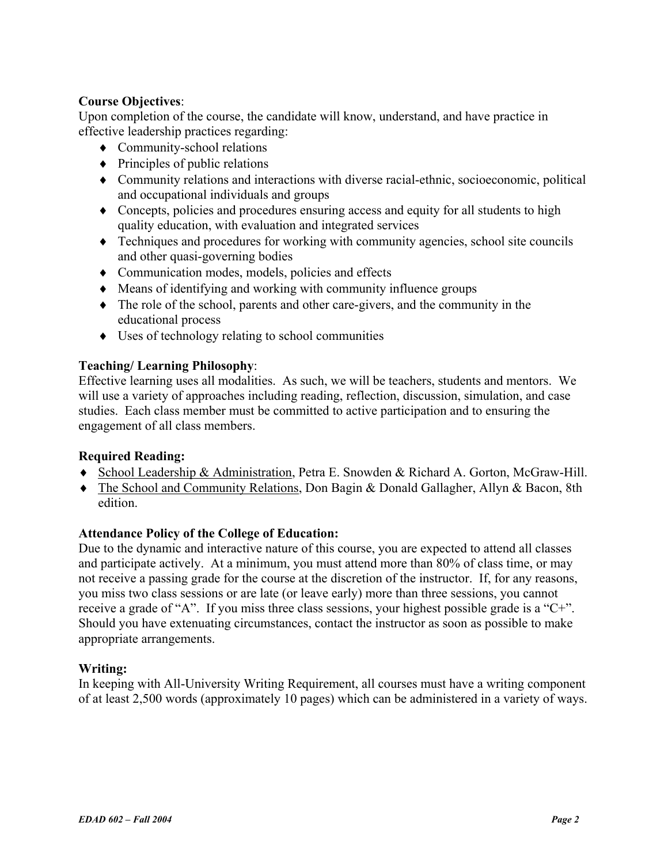# **Course Objectives**:

Upon completion of the course, the candidate will know, understand, and have practice in effective leadership practices regarding:

- ♦ Community-school relations
- $\bullet$  Principles of public relations
- ♦ Community relations and interactions with diverse racial-ethnic, socioeconomic, political and occupational individuals and groups
- ♦ Concepts, policies and procedures ensuring access and equity for all students to high quality education, with evaluation and integrated services
- ♦ Techniques and procedures for working with community agencies, school site councils and other quasi-governing bodies
- ♦ Communication modes, models, policies and effects
- ♦ Means of identifying and working with community influence groups
- ♦ The role of the school, parents and other care-givers, and the community in the educational process
- ♦ Uses of technology relating to school communities

# **Teaching/ Learning Philosophy**:

Effective learning uses all modalities. As such, we will be teachers, students and mentors. We will use a variety of approaches including reading, reflection, discussion, simulation, and case studies. Each class member must be committed to active participation and to ensuring the engagement of all class members.

# **Required Reading:**

- ♦ School Leadership & Administration, Petra E. Snowden & Richard A. Gorton, McGraw-Hill.
- ♦ The School and Community Relations, Don Bagin & Donald Gallagher, Allyn & Bacon, 8th edition.

# **Attendance Policy of the College of Education:**

Due to the dynamic and interactive nature of this course, you are expected to attend all classes and participate actively. At a minimum, you must attend more than 80% of class time, or may not receive a passing grade for the course at the discretion of the instructor. If, for any reasons, you miss two class sessions or are late (or leave early) more than three sessions, you cannot receive a grade of "A". If you miss three class sessions, your highest possible grade is a "C+". Should you have extenuating circumstances, contact the instructor as soon as possible to make appropriate arrangements.

#### **Writing:**

In keeping with All-University Writing Requirement, all courses must have a writing component of at least 2,500 words (approximately 10 pages) which can be administered in a variety of ways.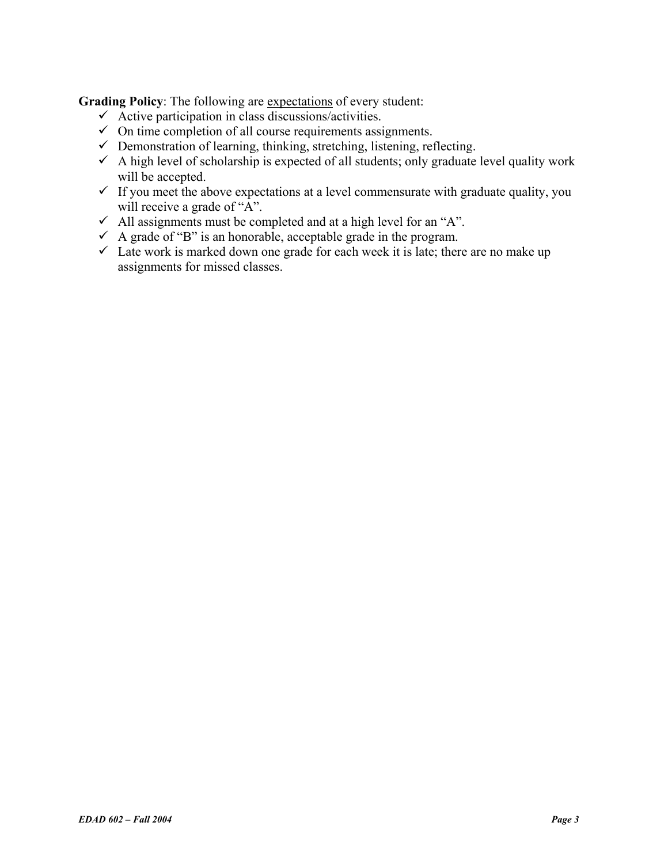**Grading Policy**: The following are expectations of every student:

- $\checkmark$  Active participation in class discussions/activities.
- $\checkmark$  On time completion of all course requirements assignments.
- $\checkmark$  Demonstration of learning, thinking, stretching, listening, reflecting.
- $\checkmark$  A high level of scholarship is expected of all students; only graduate level quality work will be accepted.
- $\checkmark$  If you meet the above expectations at a level commensurate with graduate quality, you will receive a grade of "A".
- $\checkmark$  All assignments must be completed and at a high level for an "A".
- $\checkmark$  A grade of "B" is an honorable, acceptable grade in the program.
- $\checkmark$  Late work is marked down one grade for each week it is late; there are no make up assignments for missed classes.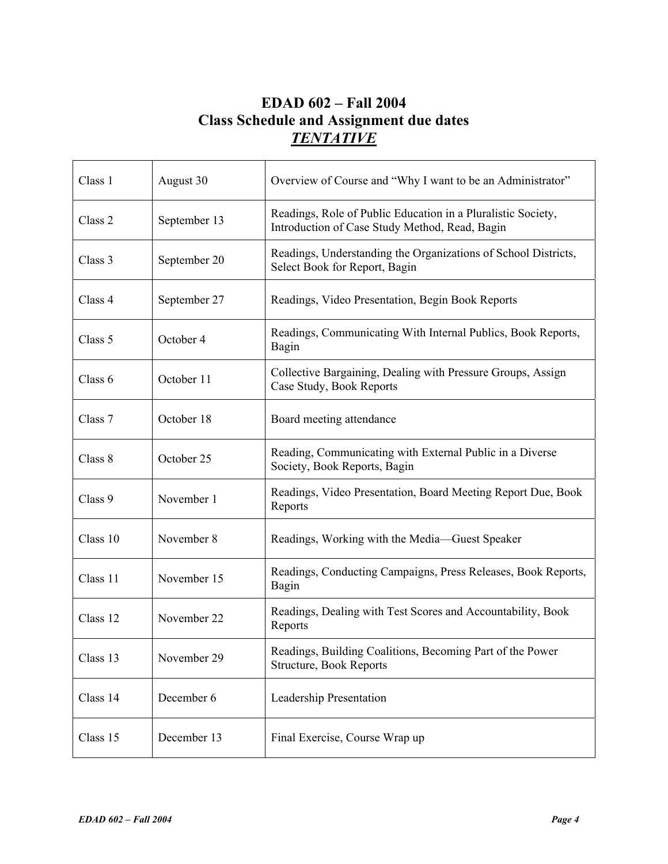# **EDAD 602 – Fall 2004 Class Schedule and Assignment due dates**  *TENTATIVE*

| Class 1  | August 30    | Overview of Course and "Why I want to be an Administrator"                                                     |  |
|----------|--------------|----------------------------------------------------------------------------------------------------------------|--|
| Class 2  | September 13 | Readings, Role of Public Education in a Pluralistic Society,<br>Introduction of Case Study Method, Read, Bagin |  |
| Class 3  | September 20 | Readings, Understanding the Organizations of School Districts,<br>Select Book for Report, Bagin                |  |
| Class 4  | September 27 | Readings, Video Presentation, Begin Book Reports                                                               |  |
| Class 5  | October 4    | Readings, Communicating With Internal Publics, Book Reports,<br>Bagin                                          |  |
| Class 6  | October 11   | Collective Bargaining, Dealing with Pressure Groups, Assign<br>Case Study, Book Reports                        |  |
| Class 7  | October 18   | Board meeting attendance                                                                                       |  |
| Class 8  | October 25   | Reading, Communicating with External Public in a Diverse<br>Society, Book Reports, Bagin                       |  |
| Class 9  | November 1   | Readings, Video Presentation, Board Meeting Report Due, Book<br>Reports                                        |  |
| Class 10 | November 8   | Readings, Working with the Media—Guest Speaker                                                                 |  |
| Class 11 | November 15  | Readings, Conducting Campaigns, Press Releases, Book Reports,<br>Bagin                                         |  |
| Class 12 | November 22  | Readings, Dealing with Test Scores and Accountability, Book<br>Reports                                         |  |
| Class 13 | November 29  | Readings, Building Coalitions, Becoming Part of the Power<br>Structure, Book Reports                           |  |
| Class 14 | December 6   | Leadership Presentation                                                                                        |  |
| Class 15 | December 13  | Final Exercise, Course Wrap up                                                                                 |  |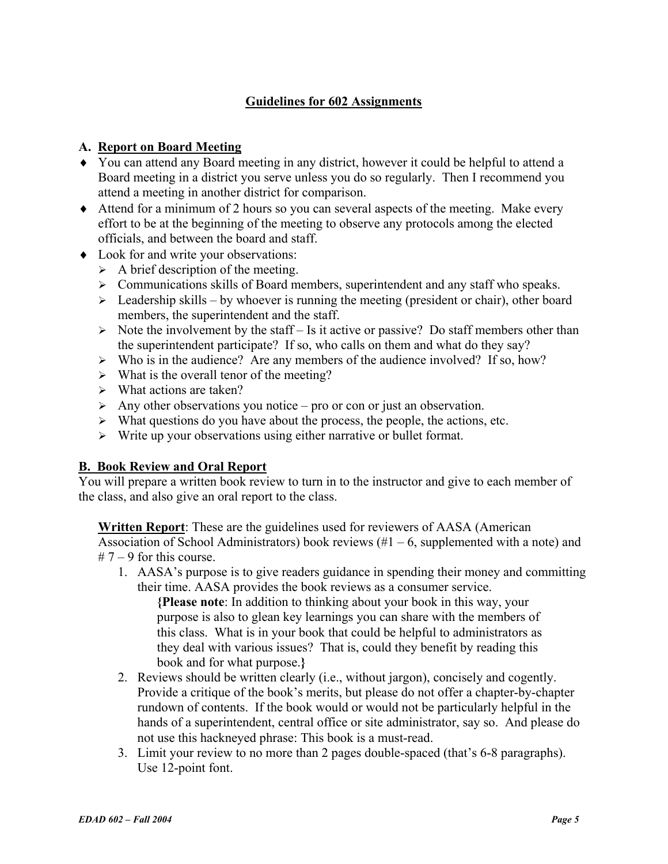# **Guidelines for 602 Assignments**

### **A. Report on Board Meeting**

- ♦ You can attend any Board meeting in any district, however it could be helpful to attend a Board meeting in a district you serve unless you do so regularly. Then I recommend you attend a meeting in another district for comparison.
- ♦ Attend for a minimum of 2 hours so you can several aspects of the meeting. Make every effort to be at the beginning of the meeting to observe any protocols among the elected officials, and between the board and staff.
- ♦ Look for and write your observations:
	- $\triangleright$  A brief description of the meeting.
	- $\triangleright$  Communications skills of Board members, superintendent and any staff who speaks.
	- $\triangleright$  Leadership skills by whoever is running the meeting (president or chair), other board members, the superintendent and the staff.
	- $\triangleright$  Note the involvement by the staff Is it active or passive? Do staff members other than the superintendent participate? If so, who calls on them and what do they say?
	- $\triangleright$  Who is in the audience? Are any members of the audience involved? If so, how?
	- $\triangleright$  What is the overall tenor of the meeting?
	- $\triangleright$  What actions are taken?
	- $\triangleright$  Any other observations you notice pro or con or just an observation.
	- $\triangleright$  What questions do you have about the process, the people, the actions, etc.
	- $\triangleright$  Write up your observations using either narrative or bullet format.

#### **B. Book Review and Oral Report**

You will prepare a written book review to turn in to the instructor and give to each member of the class, and also give an oral report to the class.

**Written Report**: These are the guidelines used for reviewers of AASA (American Association of School Administrators) book reviews  $(\#1 - 6)$ , supplemented with a note) and  $# 7 - 9$  for this course.

1. AASA's purpose is to give readers guidance in spending their money and committing their time. AASA provides the book reviews as a consumer service.

**{Please note**: In addition to thinking about your book in this way, your purpose is also to glean key learnings you can share with the members of this class. What is in your book that could be helpful to administrators as they deal with various issues? That is, could they benefit by reading this book and for what purpose.**}**

- 2. Reviews should be written clearly (i.e., without jargon), concisely and cogently. Provide a critique of the book's merits, but please do not offer a chapter-by-chapter rundown of contents. If the book would or would not be particularly helpful in the hands of a superintendent, central office or site administrator, say so. And please do not use this hackneyed phrase: This book is a must-read.
- 3. Limit your review to no more than 2 pages double-spaced (that's 6-8 paragraphs). Use 12-point font.